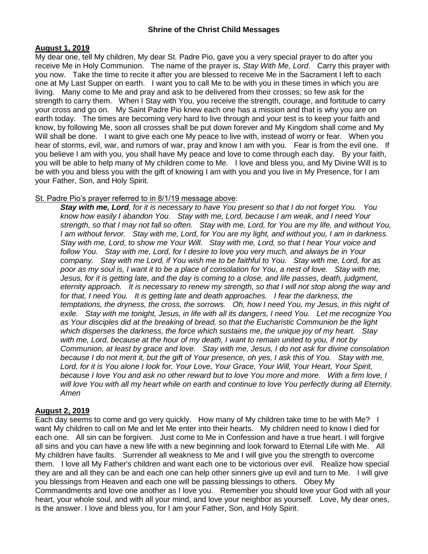#### **August 1, 2019**

My dear one, tell My children, My dear St. Padre Pio, gave you a very special prayer to do after you receive Me in Holy Communion. The name of the prayer is, *Stay With Me, Lord*. Carry this prayer with you now. Take the time to recite it after you are blessed to receive Me in the Sacrament I left to each one at My Last Supper on earth. I want you to call Me to be with you in these times in which you are living. Many come to Me and pray and ask to be delivered from their crosses; so few ask for the strength to carry them. When I Stay with You, you receive the strength, courage, and fortitude to carry your cross and go on. My Saint Padre Pio knew each one has a mission and that is why you are on earth today. The times are becoming very hard to live through and your test is to keep your faith and know, by following Me, soon all crosses shall be put down forever and My Kingdom shall come and My Will shall be done. I want to give each one My peace to live with, instead of worry or fear. When you hear of storms, evil, war, and rumors of war, pray and know I am with you. Fear is from the evil one. If you believe I am with you, you shall have My peace and love to come through each day. By your faith, you will be able to help many of My children come to Me. I love and bless you, and My Divine Will is to be with you and bless you with the gift of knowing I am with you and you live in My Presence, for I am your Father, Son, and Holy Spirit.

### St. Padre Pio's prayer referred to in 8/1/19 message above:

*Stay with me, Lord, for it is necessary to have You present so that I do not forget You. You know how easily I abandon You. Stay with me, Lord, because I am weak, and I need Your strength, so that I may not fall so often. Stay with me, Lord, for You are my life, and without You, I am without fervor. Stay with me, Lord, for You are my light, and without you, I am in darkness. Stay with me, Lord, to show me Your Will. Stay with me, Lord, so that I hear Your voice and follow You. Stay with me, Lord, for I desire to love you very much, and always be in Your company. Stay with me Lord, if You wish me to be faithful to You. Stay with me, Lord, for as poor as my soul is, I want it to be a place of consolation for You, a nest of love. Stay with me, Jesus, for it is getting late, and the day is coming to a close, and life passes, death, judgment, eternity approach. It is necessary to renew my strength, so that I will not stop along the way and for that, I need You. It is getting late and death approaches. I fear the darkness, the temptations, the dryness, the cross, the sorrows. Oh, how I need You, my Jesus, in this night of exile. Stay with me tonight, Jesus, in life with all its dangers, I need You. Let me recognize You as Your disciples did at the breaking of bread, so that the Eucharistic Communion be the light which disperses the darkness, the force which sustains me, the unique joy of my heart. Stay with me, Lord, because at the hour of my death, I want to remain united to you, if not by Communion, at least by grace and love. Stay with me, Jesus, I do not ask for divine consolation because I do not merit it, but the gift of Your presence, oh yes, I ask this of You. Stay with me, Lord, for it is You alone I look for, Your Love, Your Grace, Your Will, Your Heart, Your Spirit, because I love You and ask no other reward but to love You more and more. With a firm love, I will love You with all my heart while on earth and continue to love You perfectly during all Eternity. Amen*

### **August 2, 2019**

Each day seems to come and go very quickly. How many of My children take time to be with Me? I want My children to call on Me and let Me enter into their hearts. My children need to know I died for each one. All sin can be forgiven. Just come to Me in Confession and have a true heart. I will forgive all sins and you can have a new life with a new beginning and look forward to Eternal Life with Me. All My children have faults. Surrender all weakness to Me and I will give you the strength to overcome them. I love all My Father's children and want each one to be victorious over evil. Realize how special they are and all they can be and each one can help other sinners give up evil and turn to Me. I will give you blessings from Heaven and each one will be passing blessings to others. Obey My Commandments and love one another as I love you. Remember you should love your God with all your heart, your whole soul, and with all your mind, and love your neighbor as yourself. Love, My dear ones, is the answer. I love and bless you, for I am your Father, Son, and Holy Spirit.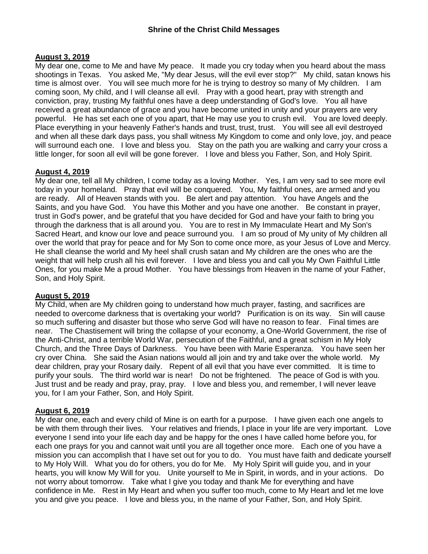### **August 3, 2019**

My dear one, come to Me and have My peace. It made you cry today when you heard about the mass shootings in Texas. You asked Me, "My dear Jesus, will the evil ever stop?" My child, satan knows his time is almost over. You will see much more for he is trying to destroy so many of My children. I am coming soon, My child, and I will cleanse all evil. Pray with a good heart, pray with strength and conviction, pray, trusting My faithful ones have a deep understanding of God's love. You all have received a great abundance of grace and you have become united in unity and your prayers are very powerful. He has set each one of you apart, that He may use you to crush evil. You are loved deeply. Place everything in your heavenly Father's hands and trust, trust, trust. You will see all evil destroyed and when all these dark days pass, you shall witness My Kingdom to come and only love, joy, and peace will surround each one. I love and bless you. Stay on the path you are walking and carry your cross a little longer, for soon all evil will be gone forever. I love and bless you Father, Son, and Holy Spirit.

### **August 4, 2019**

My dear one, tell all My children, I come today as a loving Mother. Yes, I am very sad to see more evil today in your homeland. Pray that evil will be conquered. You, My faithful ones, are armed and you are ready. All of Heaven stands with you. Be alert and pay attention. You have Angels and the Saints, and you have God. You have this Mother and you have one another. Be constant in prayer, trust in God's power, and be grateful that you have decided for God and have your faith to bring you through the darkness that is all around you. You are to rest in My Immaculate Heart and My Son's Sacred Heart, and know our love and peace surround you. I am so proud of My unity of My children all over the world that pray for peace and for My Son to come once more, as your Jesus of Love and Mercy. He shall cleanse the world and My heel shall crush satan and My children are the ones who are the weight that will help crush all his evil forever. I love and bless you and call you My Own Faithful Little Ones, for you make Me a proud Mother. You have blessings from Heaven in the name of your Father, Son, and Holy Spirit.

### **August 5, 2019**

My Child, when are My children going to understand how much prayer, fasting, and sacrifices are needed to overcome darkness that is overtaking your world? Purification is on its way. Sin will cause so much suffering and disaster but those who serve God will have no reason to fear. Final times are near. The Chastisement will bring the collapse of your economy, a One-World Government, the rise of the Anti-Christ, and a terrible World War, persecution of the Faithful, and a great schism in My Holy Church, and the Three Days of Darkness. You have been with Marie Esperanza. You have seen her cry over China. She said the Asian nations would all join and try and take over the whole world. My dear children, pray your Rosary daily. Repent of all evil that you have ever committed. It is time to purify your souls. The third world war is near! Do not be frightened. The peace of God is with you. Just trust and be ready and pray, pray, pray. I love and bless you, and remember, I will never leave you, for I am your Father, Son, and Holy Spirit.

### **August 6, 2019**

My dear one, each and every child of Mine is on earth for a purpose. I have given each one angels to be with them through their lives. Your relatives and friends, I place in your life are very important. Love everyone I send into your life each day and be happy for the ones I have called home before you, for each one prays for you and cannot wait until you are all together once more. Each one of you have a mission you can accomplish that I have set out for you to do. You must have faith and dedicate yourself to My Holy Will. What you do for others, you do for Me. My Holy Spirit will guide you, and in your hearts, you will know My Will for you. Unite yourself to Me in Spirit, in words, and in your actions. Do not worry about tomorrow. Take what I give you today and thank Me for everything and have confidence in Me. Rest in My Heart and when you suffer too much, come to My Heart and let me love you and give you peace. I love and bless you, in the name of your Father, Son, and Holy Spirit.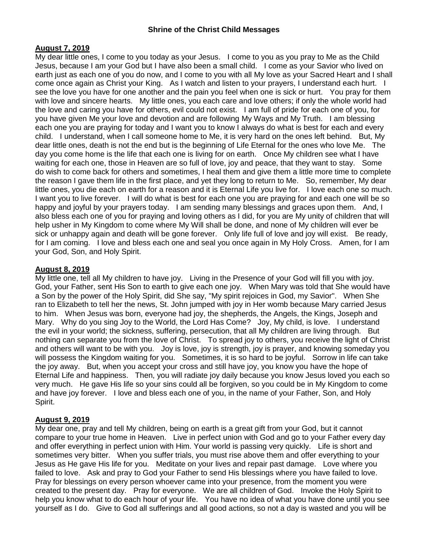### **August 7, 2019**

My dear little ones, I come to you today as your Jesus. I come to you as you pray to Me as the Child Jesus, because I am your God but I have also been a small child. I come as your Savior who lived on earth just as each one of you do now, and I come to you with all My love as your Sacred Heart and I shall come once again as Christ your King. As I watch and listen to your prayers, I understand each hurt. I see the love you have for one another and the pain you feel when one is sick or hurt. You pray for them with love and sincere hearts. My little ones, you each care and love others; if only the whole world had the love and caring you have for others, evil could not exist. I am full of pride for each one of you, for you have given Me your love and devotion and are following My Ways and My Truth. I am blessing each one you are praying for today and I want you to know I always do what is best for each and every child. I understand, when I call someone home to Me, it is very hard on the ones left behind. But, My dear little ones, death is not the end but is the beginning of Life Eternal for the ones who love Me. The day you come home is the life that each one is living for on earth. Once My children see what I have waiting for each one, those in Heaven are so full of love, joy and peace, that they want to stay. Some do wish to come back for others and sometimes, I heal them and give them a little more time to complete the reason I gave them life in the first place, and yet they long to return to Me. So, remember, My dear little ones, you die each on earth for a reason and it is Eternal Life you live for. I love each one so much. I want you to live forever. I will do what is best for each one you are praying for and each one will be so happy and joyful by your prayers today. I am sending many blessings and graces upon them. And, I also bless each one of you for praying and loving others as I did, for you are My unity of children that will help usher in My Kingdom to come where My Will shall be done, and none of My children will ever be sick or unhappy again and death will be gone forever. Only life full of love and joy will exist. Be ready, for I am coming. I love and bless each one and seal you once again in My Holy Cross. Amen, for I am your God, Son, and Holy Spirit.

### **August 8, 2019**

My little one, tell all My children to have joy. Living in the Presence of your God will fill you with joy. God, your Father, sent His Son to earth to give each one joy. When Mary was told that She would have a Son by the power of the Holy Spirit, did She say, "My spirit rejoices in God, my Savior". When She ran to Elizabeth to tell her the news, St. John jumped with joy in Her womb because Mary carried Jesus to him. When Jesus was born, everyone had joy, the shepherds, the Angels, the Kings, Joseph and Mary. Why do you sing Joy to the World, the Lord Has Come? Joy, My child, is love. I understand the evil in your world; the sickness, suffering, persecution, that all My children are living through. But nothing can separate you from the love of Christ. To spread joy to others, you receive the light of Christ and others will want to be with you. Joy is love, joy is strength, joy is prayer, and knowing someday you will possess the Kingdom waiting for you. Sometimes, it is so hard to be joyful. Sorrow in life can take the joy away. But, when you accept your cross and still have joy, you know you have the hope of Eternal Life and happiness. Then, you will radiate joy daily because you know Jesus loved you each so very much. He gave His life so your sins could all be forgiven, so you could be in My Kingdom to come and have joy forever. I love and bless each one of you, in the name of your Father, Son, and Holy Spirit.

### **August 9, 2019**

My dear one, pray and tell My children, being on earth is a great gift from your God, but it cannot compare to your true home in Heaven. Live in perfect union with God and go to your Father every day and offer everything in perfect union with Him. Your world is passing very quickly. Life is short and sometimes very bitter. When you suffer trials, you must rise above them and offer everything to your Jesus as He gave His life for you. Meditate on your lives and repair past damage. Love where you failed to love. Ask and pray to God your Father to send His blessings where you have failed to love. Pray for blessings on every person whoever came into your presence, from the moment you were created to the present day. Pray for everyone. We are all children of God. Invoke the Holy Spirit to help you know what to do each hour of your life. You have no idea of what you have done until you see yourself as I do. Give to God all sufferings and all good actions, so not a day is wasted and you will be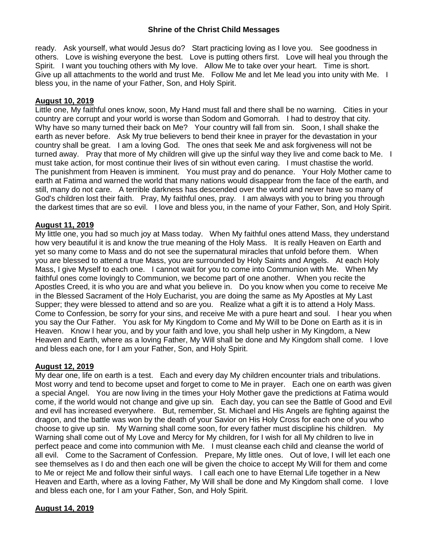ready. Ask yourself, what would Jesus do? Start practicing loving as I love you. See goodness in others. Love is wishing everyone the best. Love is putting others first. Love will heal you through the Spirit. I want you touching others with My love. Allow Me to take over your heart. Time is short. Give up all attachments to the world and trust Me. Follow Me and let Me lead you into unity with Me. I bless you, in the name of your Father, Son, and Holy Spirit.

### **August 10, 2019**

Little one, My faithful ones know, soon, My Hand must fall and there shall be no warning. Cities in your country are corrupt and your world is worse than Sodom and Gomorrah. I had to destroy that city. Why have so many turned their back on Me? Your country will fall from sin. Soon, I shall shake the earth as never before. Ask My true believers to bend their knee in prayer for the devastation in your country shall be great. I am a loving God. The ones that seek Me and ask forgiveness will not be turned away. Pray that more of My children will give up the sinful way they live and come back to Me. I must take action, for most continue their lives of sin without even caring. I must chastise the world. The punishment from Heaven is imminent. You must pray and do penance. Your Holy Mother came to earth at Fatima and warned the world that many nations would disappear from the face of the earth, and still, many do not care. A terrible darkness has descended over the world and never have so many of God's children lost their faith. Pray, My faithful ones, pray. I am always with you to bring you through the darkest times that are so evil. I love and bless you, in the name of your Father, Son, and Holy Spirit.

### **August 11, 2019**

My little one, you had so much joy at Mass today. When My faithful ones attend Mass, they understand how very beautiful it is and know the true meaning of the Holy Mass. It is really Heaven on Earth and yet so many come to Mass and do not see the supernatural miracles that unfold before them. When you are blessed to attend a true Mass, you are surrounded by Holy Saints and Angels. At each Holy Mass, I give Myself to each one. I cannot wait for you to come into Communion with Me. When My faithful ones come lovingly to Communion, we become part of one another. When you recite the Apostles Creed, it is who you are and what you believe in. Do you know when you come to receive Me in the Blessed Sacrament of the Holy Eucharist, you are doing the same as My Apostles at My Last Supper; they were blessed to attend and so are you. Realize what a gift it is to attend a Holy Mass. Come to Confession, be sorry for your sins, and receive Me with a pure heart and soul. I hear you when you say the Our Father. You ask for My Kingdom to Come and My Will to be Done on Earth as it is in Heaven. Know I hear you, and by your faith and love, you shall help usher in My Kingdom, a New Heaven and Earth, where as a loving Father, My Will shall be done and My Kingdom shall come. I love and bless each one, for I am your Father, Son, and Holy Spirit.

### **August 12, 2019**

My dear one, life on earth is a test. Each and every day My children encounter trials and tribulations. Most worry and tend to become upset and forget to come to Me in prayer. Each one on earth was given a special Angel. You are now living in the times your Holy Mother gave the predictions at Fatima would come, if the world would not change and give up sin. Each day, you can see the Battle of Good and Evil and evil has increased everywhere. But, remember, St. Michael and His Angels are fighting against the dragon, and the battle was won by the death of your Savior on His Holy Cross for each one of you who choose to give up sin. My Warning shall come soon, for every father must discipline his children. My Warning shall come out of My Love and Mercy for My children, for I wish for all My children to live in perfect peace and come into communion with Me. I must cleanse each child and cleanse the world of all evil. Come to the Sacrament of Confession. Prepare, My little ones. Out of love, I will let each one see themselves as I do and then each one will be given the choice to accept My Will for them and come to Me or reject Me and follow their sinful ways. I call each one to have Eternal Life together in a New Heaven and Earth, where as a loving Father, My Will shall be done and My Kingdom shall come. I love and bless each one, for I am your Father, Son, and Holy Spirit.

### **August 14, 2019**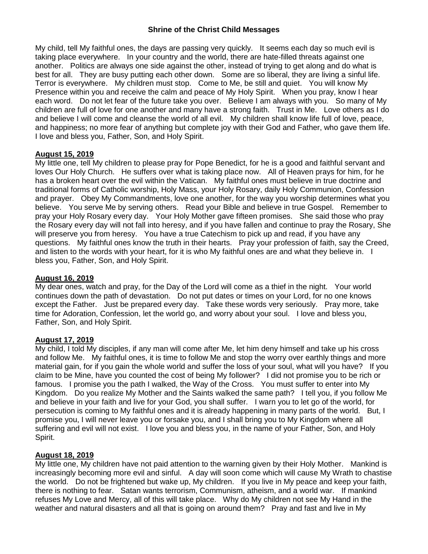My child, tell My faithful ones, the days are passing very quickly. It seems each day so much evil is taking place everywhere. In your country and the world, there are hate-filled threats against one another. Politics are always one side against the other, instead of trying to get along and do what is best for all. They are busy putting each other down. Some are so liberal, they are living a sinful life. Terror is everywhere. My children must stop. Come to Me, be still and quiet. You will know My Presence within you and receive the calm and peace of My Holy Spirit. When you pray, know I hear each word. Do not let fear of the future take you over. Believe I am always with you. So many of My children are full of love for one another and many have a strong faith. Trust in Me. Love others as I do and believe I will come and cleanse the world of all evil. My children shall know life full of love, peace, and happiness; no more fear of anything but complete joy with their God and Father, who gave them life. I love and bless you, Father, Son, and Holy Spirit.

### **August 15, 2019**

My little one, tell My children to please pray for Pope Benedict, for he is a good and faithful servant and loves Our Holy Church. He suffers over what is taking place now. All of Heaven prays for him, for he has a broken heart over the evil within the Vatican. My faithful ones must believe in true doctrine and traditional forms of Catholic worship, Holy Mass, your Holy Rosary, daily Holy Communion, Confession and prayer. Obey My Commandments, love one another, for the way you worship determines what you believe. You serve Me by serving others. Read your Bible and believe in true Gospel. Remember to pray your Holy Rosary every day. Your Holy Mother gave fifteen promises. She said those who pray the Rosary every day will not fall into heresy, and if you have fallen and continue to pray the Rosary, She will preserve you from heresy. You have a true Catechism to pick up and read, if you have any questions. My faithful ones know the truth in their hearts. Pray your profession of faith, say the Creed, and listen to the words with your heart, for it is who My faithful ones are and what they believe in. I bless you, Father, Son, and Holy Spirit.

#### **August 16, 2019**

My dear ones, watch and pray, for the Day of the Lord will come as a thief in the night. Your world continues down the path of devastation. Do not put dates or times on your Lord, for no one knows except the Father. Just be prepared every day. Take these words very seriously. Pray more, take time for Adoration, Confession, let the world go, and worry about your soul. I love and bless you, Father, Son, and Holy Spirit.

### **August 17, 2019**

My child, I told My disciples, if any man will come after Me, let him deny himself and take up his cross and follow Me. My faithful ones, it is time to follow Me and stop the worry over earthly things and more material gain, for if you gain the whole world and suffer the loss of your soul, what will you have? If you claim to be Mine, have you counted the cost of being My follower? I did not promise you to be rich or famous. I promise you the path I walked, the Way of the Cross. You must suffer to enter into My Kingdom. Do you realize My Mother and the Saints walked the same path? I tell you, if you follow Me and believe in your faith and live for your God, you shall suffer. I warn you to let go of the world, for persecution is coming to My faithful ones and it is already happening in many parts of the world. But, I promise you, I will never leave you or forsake you, and I shall bring you to My Kingdom where all suffering and evil will not exist. I love you and bless you, in the name of your Father, Son, and Holy Spirit.

### **August 18, 2019**

My little one, My children have not paid attention to the warning given by their Holy Mother. Mankind is increasingly becoming more evil and sinful. A day will soon come which will cause My Wrath to chastise the world. Do not be frightened but wake up, My children. If you live in My peace and keep your faith, there is nothing to fear. Satan wants terrorism, Communism, atheism, and a world war. If mankind refuses My Love and Mercy, all of this will take place. Why do My children not see My Hand in the weather and natural disasters and all that is going on around them? Pray and fast and live in My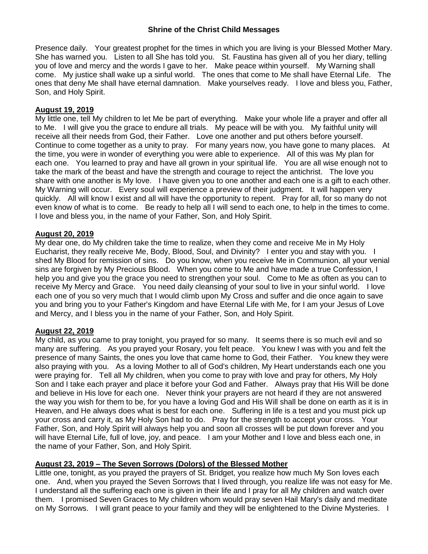Presence daily. Your greatest prophet for the times in which you are living is your Blessed Mother Mary. She has warned you. Listen to all She has told you. St. Faustina has given all of you her diary, telling you of love and mercy and the words I gave to her. Make peace within yourself. My Warning shall come. My justice shall wake up a sinful world. The ones that come to Me shall have Eternal Life. The ones that deny Me shall have eternal damnation. Make yourselves ready. I love and bless you, Father, Son, and Holy Spirit.

### **August 19, 2019**

My little one, tell My children to let Me be part of everything. Make your whole life a prayer and offer all to Me. I will give you the grace to endure all trials. My peace will be with you. My faithful unity will receive all their needs from God, their Father. Love one another and put others before yourself. Continue to come together as a unity to pray. For many years now, you have gone to many places. At the time, you were in wonder of everything you were able to experience. All of this was My plan for each one. You learned to pray and have all grown in your spiritual life. You are all wise enough not to take the mark of the beast and have the strength and courage to reject the antichrist. The love you share with one another is My love. I have given you to one another and each one is a gift to each other. My Warning will occur. Every soul will experience a preview of their judgment. It will happen very quickly. All will know I exist and all will have the opportunity to repent. Pray for all, for so many do not even know of what is to come. Be ready to help all I will send to each one, to help in the times to come. I love and bless you, in the name of your Father, Son, and Holy Spirit.

#### **August 20, 2019**

My dear one, do My children take the time to realize, when they come and receive Me in My Holy Eucharist, they really receive Me, Body, Blood, Soul, and Divinity? I enter you and stay with you. I shed My Blood for remission of sins. Do you know, when you receive Me in Communion, all your venial sins are forgiven by My Precious Blood. When you come to Me and have made a true Confession, I help you and give you the grace you need to strengthen your soul. Come to Me as often as you can to receive My Mercy and Grace. You need daily cleansing of your soul to live in your sinful world. I love each one of you so very much that I would climb upon My Cross and suffer and die once again to save you and bring you to your Father's Kingdom and have Eternal Life with Me, for I am your Jesus of Love and Mercy, and I bless you in the name of your Father, Son, and Holy Spirit.

### **August 22, 2019**

My child, as you came to pray tonight, you prayed for so many. It seems there is so much evil and so many are suffering. As you prayed your Rosary, you felt peace. You knew I was with you and felt the presence of many Saints, the ones you love that came home to God, their Father. You knew they were also praying with you. As a loving Mother to all of God's children, My Heart understands each one you were praying for. Tell all My children, when you come to pray with love and pray for others, My Holy Son and I take each prayer and place it before your God and Father. Always pray that His Will be done and believe in His love for each one. Never think your prayers are not heard if they are not answered the way you wish for them to be, for you have a loving God and His Will shall be done on earth as it is in Heaven, and He always does what is best for each one. Suffering in life is a test and you must pick up your cross and carry it, as My Holy Son had to do. Pray for the strength to accept your cross. Your Father, Son, and Holy Spirit will always help you and soon all crosses will be put down forever and you will have Eternal Life, full of love, joy, and peace. I am your Mother and I love and bless each one, in the name of your Father, Son, and Holy Spirit.

### **August 23, 2019 – The Seven Sorrows (Dolors) of the Blessed Mother**

Little one, tonight, as you prayed the prayers of St. Bridget, you realize how much My Son loves each one. And, when you prayed the Seven Sorrows that I lived through, you realize life was not easy for Me. I understand all the suffering each one is given in their life and I pray for all My children and watch over them. I promised Seven Graces to My children whom would pray seven Hail Mary's daily and meditate on My Sorrows. I will grant peace to your family and they will be enlightened to the Divine Mysteries. I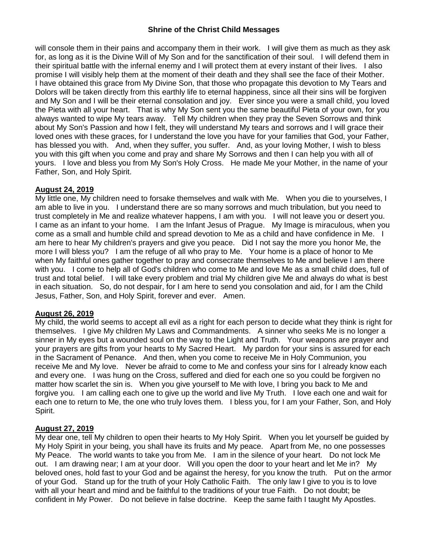will console them in their pains and accompany them in their work. I will give them as much as they ask for, as long as it is the Divine Will of My Son and for the sanctification of their soul. I will defend them in their spiritual battle with the infernal enemy and I will protect them at every instant of their lives. I also promise I will visibly help them at the moment of their death and they shall see the face of their Mother. I have obtained this grace from My Divine Son, that those who propagate this devotion to My Tears and Dolors will be taken directly from this earthly life to eternal happiness, since all their sins will be forgiven and My Son and I will be their eternal consolation and joy. Ever since you were a small child, you loved the Pieta with all your heart. That is why My Son sent you the same beautiful Pieta of your own, for you always wanted to wipe My tears away. Tell My children when they pray the Seven Sorrows and think about My Son's Passion and how I felt, they will understand My tears and sorrows and I will grace their loved ones with these graces, for I understand the love you have for your families that God, your Father, has blessed you with. And, when they suffer, you suffer. And, as your loving Mother, I wish to bless you with this gift when you come and pray and share My Sorrows and then I can help you with all of yours. I love and bless you from My Son's Holy Cross. He made Me your Mother, in the name of your Father, Son, and Holy Spirit.

# **August 24, 2019**

My little one, My children need to forsake themselves and walk with Me. When you die to yourselves, I am able to live in you. I understand there are so many sorrows and much tribulation, but you need to trust completely in Me and realize whatever happens, I am with you. I will not leave you or desert you. I came as an infant to your home. I am the Infant Jesus of Prague. My Image is miraculous, when you come as a small and humble child and spread devotion to Me as a child and have confidence in Me. I am here to hear My children's prayers and give you peace. Did I not say the more you honor Me, the more I will bless you? I am the refuge of all who pray to Me. Your home is a place of honor to Me when My faithful ones gather together to pray and consecrate themselves to Me and believe I am there with you. I come to help all of God's children who come to Me and love Me as a small child does, full of trust and total belief. I will take every problem and trial My children give Me and always do what is best in each situation. So, do not despair, for I am here to send you consolation and aid, for I am the Child Jesus, Father, Son, and Holy Spirit, forever and ever. Amen.

# **August 26, 2019**

My child, the world seems to accept all evil as a right for each person to decide what they think is right for themselves. I give My children My Laws and Commandments. A sinner who seeks Me is no longer a sinner in My eyes but a wounded soul on the way to the Light and Truth. Your weapons are prayer and your prayers are gifts from your hearts to My Sacred Heart. My pardon for your sins is assured for each in the Sacrament of Penance. And then, when you come to receive Me in Holy Communion, you receive Me and My love. Never be afraid to come to Me and confess your sins for I already know each and every one. I was hung on the Cross, suffered and died for each one so you could be forgiven no matter how scarlet the sin is. When you give yourself to Me with love, I bring you back to Me and forgive you. I am calling each one to give up the world and live My Truth. I love each one and wait for each one to return to Me, the one who truly loves them. I bless you, for I am your Father, Son, and Holy Spirit.

# **August 27, 2019**

My dear one, tell My children to open their hearts to My Holy Spirit. When you let yourself be guided by My Holy Spirit in your being, you shall have its fruits and My peace. Apart from Me, no one possesses My Peace. The world wants to take you from Me. I am in the silence of your heart. Do not lock Me out. I am drawing near; I am at your door. Will you open the door to your heart and let Me in? My beloved ones, hold fast to your God and be against the heresy, for you know the truth. Put on the armor of your God. Stand up for the truth of your Holy Catholic Faith. The only law I give to you is to love with all your heart and mind and be faithful to the traditions of your true Faith. Do not doubt; be confident in My Power. Do not believe in false doctrine. Keep the same faith I taught My Apostles.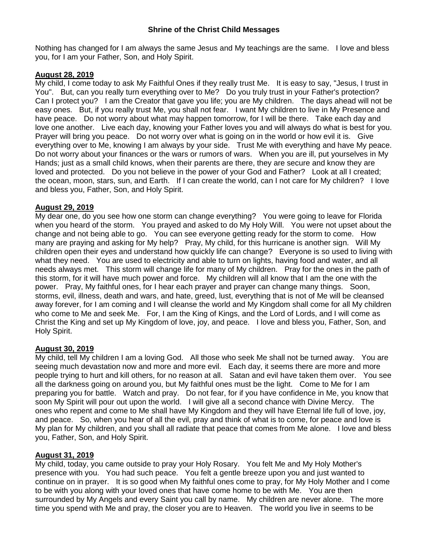Nothing has changed for I am always the same Jesus and My teachings are the same. I love and bless you, for I am your Father, Son, and Holy Spirit.

## **August 28, 2019**

My child, I come today to ask My Faithful Ones if they really trust Me. It is easy to say, "Jesus, I trust in You". But, can you really turn everything over to Me? Do you truly trust in your Father's protection? Can I protect you? I am the Creator that gave you life; you are My children. The days ahead will not be easy ones. But, if you really trust Me, you shall not fear. I want My children to live in My Presence and have peace. Do not worry about what may happen tomorrow, for I will be there. Take each day and love one another. Live each day, knowing your Father loves you and will always do what is best for you. Prayer will bring you peace. Do not worry over what is going on in the world or how evil it is. Give everything over to Me, knowing I am always by your side. Trust Me with everything and have My peace. Do not worry about your finances or the wars or rumors of wars. When you are ill, put yourselves in My Hands; just as a small child knows, when their parents are there, they are secure and know they are loved and protected. Do you not believe in the power of your God and Father? Look at all I created; the ocean, moon, stars, sun, and Earth. If I can create the world, can I not care for My children? I love and bless you, Father, Son, and Holy Spirit.

## **August 29, 2019**

My dear one, do you see how one storm can change everything? You were going to leave for Florida when you heard of the storm. You prayed and asked to do My Holy Will. You were not upset about the change and not being able to go. You can see everyone getting ready for the storm to come. How many are praying and asking for My help? Pray, My child, for this hurricane is another sign. Will My children open their eyes and understand how quickly life can change? Everyone is so used to living with what they need. You are used to electricity and able to turn on lights, having food and water, and all needs always met. This storm will change life for many of My children. Pray for the ones in the path of this storm, for it will have much power and force. My children will all know that I am the one with the power. Pray, My faithful ones, for I hear each prayer and prayer can change many things. Soon, storms, evil, illness, death and wars, and hate, greed, lust, everything that is not of Me will be cleansed away forever, for I am coming and I will cleanse the world and My Kingdom shall come for all My children who come to Me and seek Me. For, I am the King of Kings, and the Lord of Lords, and I will come as Christ the King and set up My Kingdom of love, joy, and peace. I love and bless you, Father, Son, and Holy Spirit.

### **August 30, 2019**

My child, tell My children I am a loving God. All those who seek Me shall not be turned away. You are seeing much devastation now and more and more evil. Each day, it seems there are more and more people trying to hurt and kill others, for no reason at all. Satan and evil have taken them over. You see all the darkness going on around you, but My faithful ones must be the light. Come to Me for I am preparing you for battle. Watch and pray. Do not fear, for if you have confidence in Me, you know that soon My Spirit will pour out upon the world. I will give all a second chance with Divine Mercy. The ones who repent and come to Me shall have My Kingdom and they will have Eternal life full of love, joy, and peace. So, when you hear of all the evil, pray and think of what is to come, for peace and love is My plan for My children, and you shall all radiate that peace that comes from Me alone. I love and bless you, Father, Son, and Holy Spirit.

# **August 31, 2019**

My child, today, you came outside to pray your Holy Rosary. You felt Me and My Holy Mother's presence with you. You had such peace. You felt a gentle breeze upon you and just wanted to continue on in prayer. It is so good when My faithful ones come to pray, for My Holy Mother and I come to be with you along with your loved ones that have come home to be with Me. You are then surrounded by My Angels and every Saint you call by name. My children are never alone. The more time you spend with Me and pray, the closer you are to Heaven. The world you live in seems to be